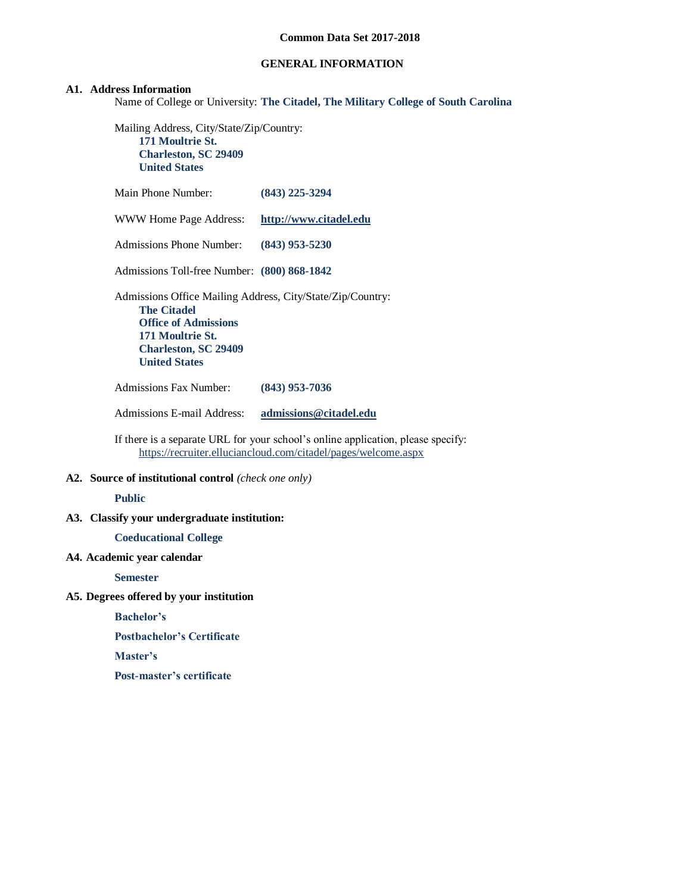# **GENERAL INFORMATION**

#### **A1. Address Information**

Name of College or University: **The Citadel, The Military College of South Carolina**

Mailing Address, City/State/Zip/Country: **171 Moultrie St. Charleston, SC 29409 United States**

| Main Phone Number:                                                                                                                                                                                | $(843)$ 225-3294       |
|---------------------------------------------------------------------------------------------------------------------------------------------------------------------------------------------------|------------------------|
| WWW Home Page Address:                                                                                                                                                                            | http://www.citadel.edu |
| <b>Admissions Phone Number:</b>                                                                                                                                                                   | $(843)$ 953-5230       |
| Admissions Toll-free Number: (800) 868-1842                                                                                                                                                       |                        |
| Admissions Office Mailing Address, City/State/Zip/Country:<br><b>The Citadel</b><br><b>Office of Admissions</b><br><b>171 Moultrie St.</b><br><b>Charleston, SC 29409</b><br><b>United States</b> |                        |
| Admissions Fax Number:                                                                                                                                                                            | $(843)$ 953-7036       |

Admissions E-mail Address: **[admissions@citadel.edu](mailto:admissions@citadel.edu)**

If there is a separate URL for your school's online application, please specify: <https://recruiter.elluciancloud.com/citadel/pages/welcome.aspx>

**A2. Source of institutional control** *(check one only)*

#### **Public**

**A3. Classify your undergraduate institution:**

**Coeducational College**

**A4. Academic year calendar**

**Semester**

# **A5. Degrees offered by your institution**

**Bachelor's**

**Postbachelor's Certificate**

**Master's**

**Post-master's certificate**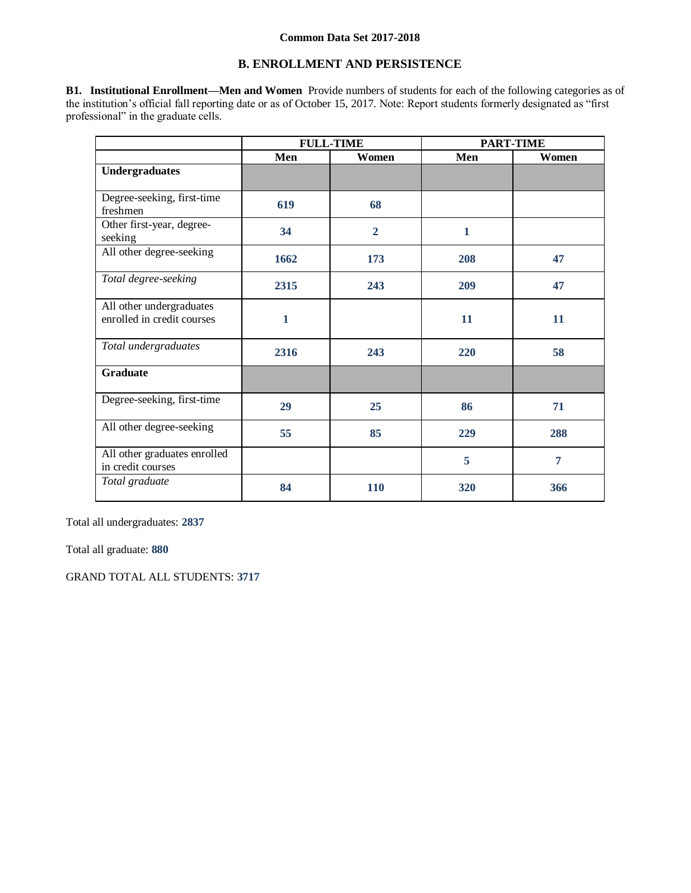# **B. ENROLLMENT AND PERSISTENCE**

**B1. Institutional Enrollment—Men and Women** Provide numbers of students for each of the following categories as of the institution's official fall reporting date or as of October 15, 2017. Note: Report students formerly designated as "first professional" in the graduate cells.

|                                                        | <b>FULL-TIME</b> |                | <b>PART-TIME</b> |                |
|--------------------------------------------------------|------------------|----------------|------------------|----------------|
|                                                        | Men              | Women          | Men              | Women          |
| <b>Undergraduates</b>                                  |                  |                |                  |                |
|                                                        |                  |                |                  |                |
| Degree-seeking, first-time<br>freshmen                 | 619              | 68             |                  |                |
| Other first-year, degree-<br>seeking                   | 34               | $\overline{2}$ | $\mathbf{1}$     |                |
| All other degree-seeking                               | 1662             | 173            | 208              | 47             |
| Total degree-seeking                                   | 2315             | 243            | 209              | 47             |
| All other undergraduates<br>enrolled in credit courses | 1                |                | 11               | 11             |
| Total undergraduates                                   | 2316             | 243            | 220              | 58             |
| <b>Graduate</b>                                        |                  |                |                  |                |
| Degree-seeking, first-time                             | 29               | 25             | 86               | 71             |
| All other degree-seeking                               | 55               | 85             | 229              | 288            |
| All other graduates enrolled<br>in credit courses      |                  |                | 5                | $\overline{7}$ |
| Total graduate                                         | 84               | 110            | 320              | 366            |

Total all undergraduates: **2837**

Total all graduate: **880**

GRAND TOTAL ALL STUDENTS: **3717**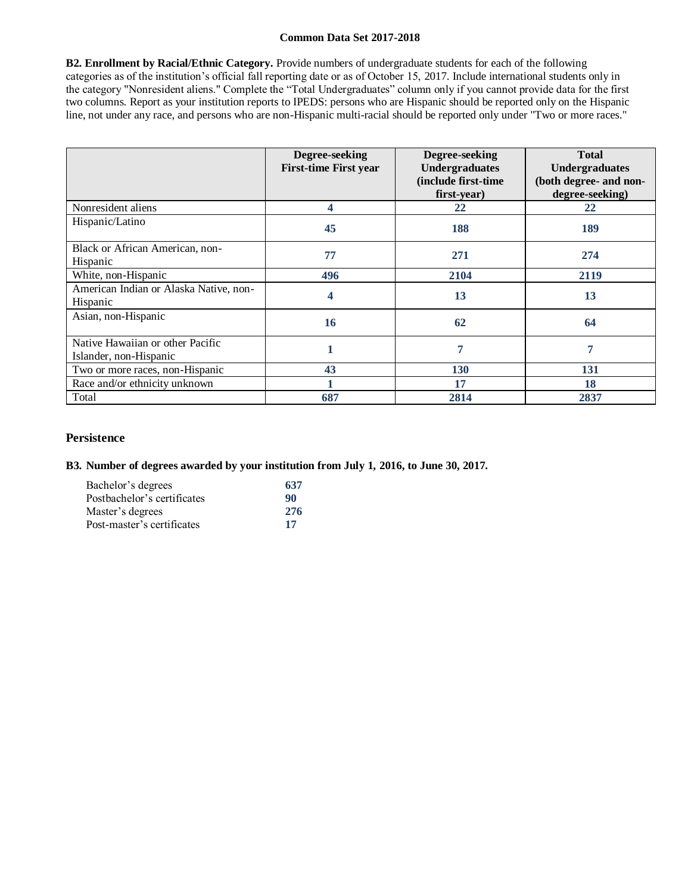**B2. Enrollment by Racial/Ethnic Category.** Provide numbers of undergraduate students for each of the following categories as of the institution's official fall reporting date or as of October 15, 2017. Include international students only in the category "Nonresident aliens." Complete the "Total Undergraduates" column only if you cannot provide data for the first two columns. Report as your institution reports to IPEDS: persons who are Hispanic should be reported only on the Hispanic line, not under any race, and persons who are non-Hispanic multi-racial should be reported only under "Two or more races."

|                                                            | Degree-seeking<br><b>First-time First year</b> | Degree-seeking<br><b>Undergraduates</b><br>(include first-time<br>first-year) | <b>Total</b><br><b>Undergraduates</b><br>(both degree- and non-<br>degree-seeking) |
|------------------------------------------------------------|------------------------------------------------|-------------------------------------------------------------------------------|------------------------------------------------------------------------------------|
| Nonresident aliens                                         | 4                                              | 22                                                                            | 22                                                                                 |
| Hispanic/Latino                                            | 45                                             | 188                                                                           | 189                                                                                |
| Black or African American, non-<br>Hispanic                | 77                                             | 271                                                                           | 274                                                                                |
| White, non-Hispanic                                        | 496                                            | 2104                                                                          | 2119                                                                               |
| American Indian or Alaska Native, non-<br>Hispanic         | 4                                              | 13                                                                            | 13                                                                                 |
| Asian, non-Hispanic                                        | 16                                             | 62                                                                            | 64                                                                                 |
| Native Hawaiian or other Pacific<br>Islander, non-Hispanic |                                                | 7                                                                             | 7                                                                                  |
| Two or more races, non-Hispanic                            | 43                                             | 130                                                                           | 131                                                                                |
| Race and/or ethnicity unknown                              |                                                | 17                                                                            | 18                                                                                 |
| Total                                                      | 687                                            | 2814                                                                          | 2837                                                                               |

# **Persistence**

## **B3. Number of degrees awarded by your institution from July 1, 2016, to June 30, 2017.**

| Bachelor's degrees          | 637 |
|-----------------------------|-----|
| Postbachelor's certificates | 90  |
| Master's degrees            | 276 |
| Post-master's certificates  | 17  |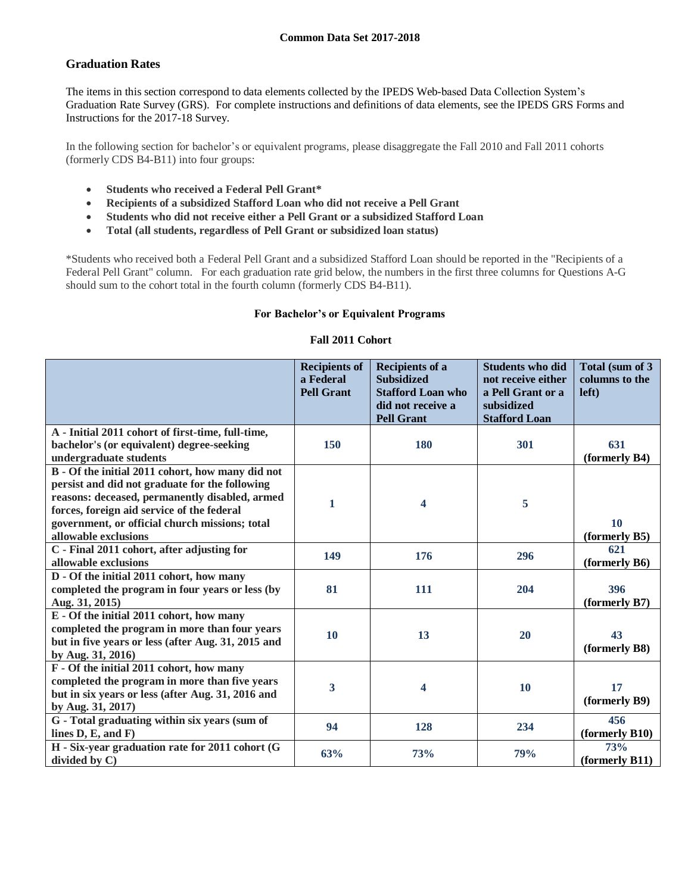# **Graduation Rates**

The items in this section correspond to data elements collected by the IPEDS Web-based Data Collection System's Graduation Rate Survey (GRS). For complete instructions and definitions of data elements, see the IPEDS GRS Forms and Instructions for the 2017-18 Survey.

In the following section for bachelor's or equivalent programs, please disaggregate the Fall 2010 and Fall 2011 cohorts (formerly CDS B4-B11) into four groups:

- **Students who received a Federal Pell Grant\***
- **Recipients of a subsidized Stafford Loan who did not receive a Pell Grant**
- **Students who did not receive either a Pell Grant or a subsidized Stafford Loan**
- **Total (all students, regardless of Pell Grant or subsidized loan status)**

\*Students who received both a Federal Pell Grant and a subsidized Stafford Loan should be reported in the "Recipients of a Federal Pell Grant" column. For each graduation rate grid below, the numbers in the first three columns for Questions A-G should sum to the cohort total in the fourth column (formerly CDS B4-B11).

# **For Bachelor's or Equivalent Programs**

## **Fall 2011 Cohort**

|                                                                                                                                                                                                                                                                              | <b>Recipients of</b><br>a Federal<br><b>Pell Grant</b> | <b>Recipients of a</b><br><b>Subsidized</b><br><b>Stafford Loan who</b><br>did not receive a<br><b>Pell Grant</b> | <b>Students who did</b><br>not receive either<br>a Pell Grant or a<br>subsidized<br><b>Stafford Loan</b> | Total (sum of 3<br>columns to the<br>left) |
|------------------------------------------------------------------------------------------------------------------------------------------------------------------------------------------------------------------------------------------------------------------------------|--------------------------------------------------------|-------------------------------------------------------------------------------------------------------------------|----------------------------------------------------------------------------------------------------------|--------------------------------------------|
| A - Initial 2011 cohort of first-time, full-time,<br>bachelor's (or equivalent) degree-seeking<br>undergraduate students                                                                                                                                                     | 150                                                    | 180                                                                                                               | 301                                                                                                      | 631<br>(formerly B4)                       |
| B - Of the initial 2011 cohort, how many did not<br>persist and did not graduate for the following<br>reasons: deceased, permanently disabled, armed<br>forces, foreign aid service of the federal<br>government, or official church missions; total<br>allowable exclusions | 1                                                      | 4                                                                                                                 | 5                                                                                                        | 10<br>(formerly B5)                        |
| C - Final 2011 cohort, after adjusting for<br>allowable exclusions                                                                                                                                                                                                           | 149                                                    | 176                                                                                                               | 296                                                                                                      | 621<br>(formerly B6)                       |
| D - Of the initial 2011 cohort, how many<br>completed the program in four years or less (by<br>Aug. 31, 2015)                                                                                                                                                                | 81                                                     | 111                                                                                                               | 204                                                                                                      | 396<br>(formerly B7)                       |
| E - Of the initial 2011 cohort, how many<br>completed the program in more than four years<br>but in five years or less (after Aug. 31, 2015 and<br>by Aug. 31, 2016)                                                                                                         | 10                                                     | 13                                                                                                                | 20                                                                                                       | 43<br>(formerly B8)                        |
| F - Of the initial 2011 cohort, how many<br>completed the program in more than five years<br>but in six years or less (after Aug. 31, 2016 and<br>by Aug. 31, 2017)                                                                                                          | $\overline{\mathbf{3}}$                                | 4                                                                                                                 | 10                                                                                                       | 17<br>(formerly B9)                        |
| G - Total graduating within six years (sum of<br>lines $D, E,$ and $F)$                                                                                                                                                                                                      | 94                                                     | 128                                                                                                               | 234                                                                                                      | 456<br>(formerly B10)                      |
| H - Six-year graduation rate for 2011 cohort (G<br>divided by C)                                                                                                                                                                                                             | 63%                                                    | 73%                                                                                                               | 79%                                                                                                      | 73%<br>$\rm (formerlv B11)$                |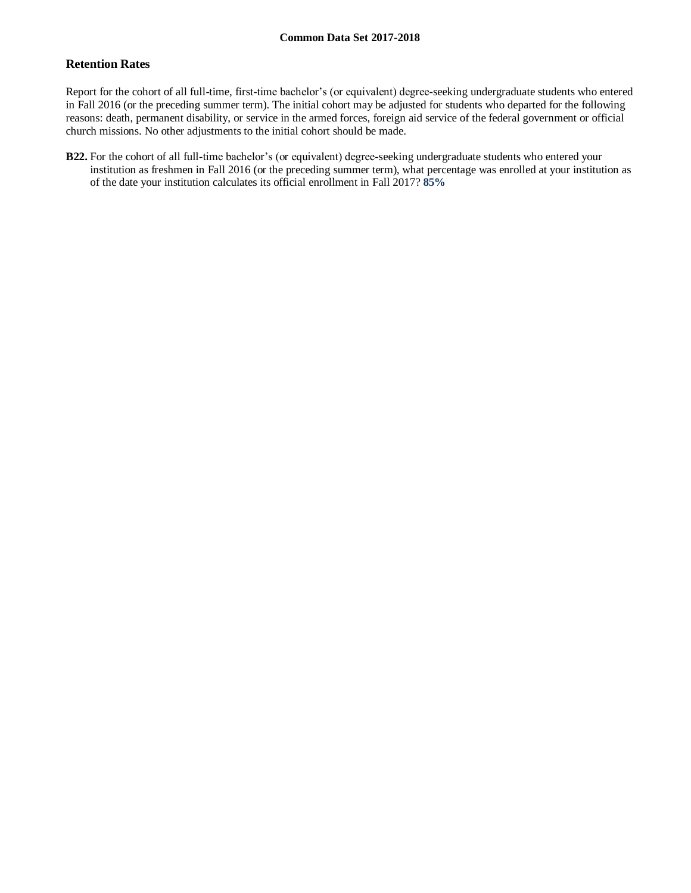# **Retention Rates**

Report for the cohort of all full-time, first-time bachelor's (or equivalent) degree-seeking undergraduate students who entered in Fall 2016 (or the preceding summer term). The initial cohort may be adjusted for students who departed for the following reasons: death, permanent disability, or service in the armed forces, foreign aid service of the federal government or official church missions. No other adjustments to the initial cohort should be made.

**B22.** For the cohort of all full-time bachelor's (or equivalent) degree-seeking undergraduate students who entered your institution as freshmen in Fall 2016 (or the preceding summer term), what percentage was enrolled at your institution as of the date your institution calculates its official enrollment in Fall 2017? **85%**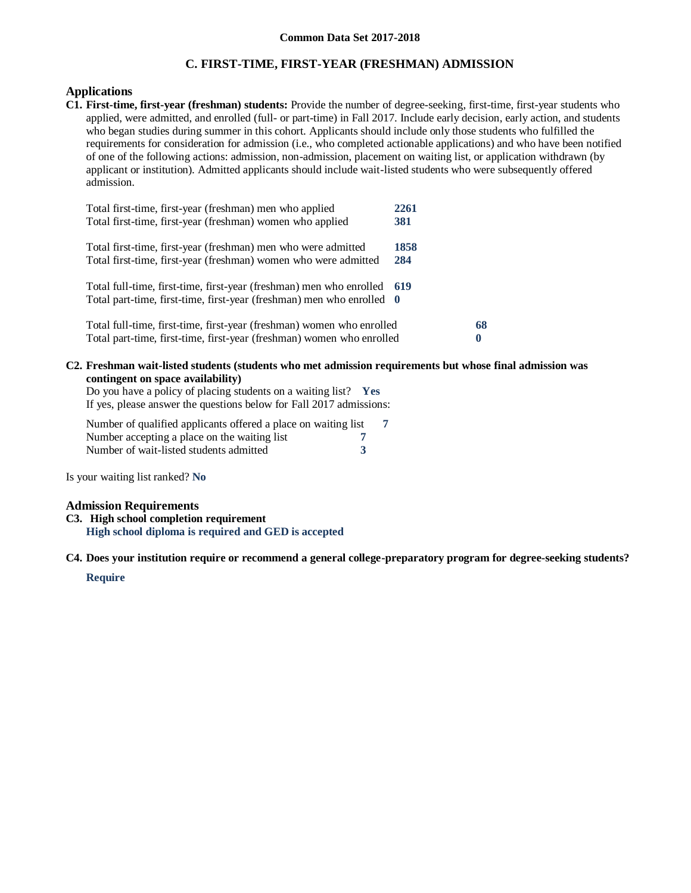# **C. FIRST-TIME, FIRST-YEAR (FRESHMAN) ADMISSION**

## **Applications**

**C1. First-time, first-year (freshman) students:** Provide the number of degree-seeking, first-time, first-year students who applied, were admitted, and enrolled (full- or part-time) in Fall 2017. Include early decision, early action, and students who began studies during summer in this cohort. Applicants should include only those students who fulfilled the requirements for consideration for admission (i.e., who completed actionable applications) and who have been notified of one of the following actions: admission, non-admission, placement on waiting list, or application withdrawn (by applicant or institution). Admitted applicants should include wait-listed students who were subsequently offered admission.

| Total first-time, first-year (freshman) men who applied<br>Total first-time, first-year (freshman) women who applied                             | 2261<br>381 |                |
|--------------------------------------------------------------------------------------------------------------------------------------------------|-------------|----------------|
| Total first-time, first-year (freshman) men who were admitted<br>Total first-time, first-year (freshman) women who were admitted                 | 1858<br>284 |                |
| Total full-time, first-time, first-year (freshman) men who enrolled 619<br>Total part-time, first-time, first-year (freshman) men who enrolled 0 |             |                |
| Total full-time, first-time, first-year (freshman) women who enrolled<br>Total part-time, first-time, first-year (freshman) women who enrolled   |             | 68<br>$\bf{0}$ |

#### **C2. Freshman wait-listed students (students who met admission requirements but whose final admission was contingent on space availability)**

Do you have a policy of placing students on a waiting list? **Yes** If yes, please answer the questions below for Fall 2017 admissions:

Number of qualified applicants offered a place on waiting list **7** Number accepting a place on the waiting list **7** Number of wait-listed students admitted **3**

Is your waiting list ranked? **No**

## **Admission Requirements**

**C3. High school completion requirement High school diploma is required and GED is accepted**

**C4. Does your institution require or recommend a general college-preparatory program for degree-seeking students?**

## **Require**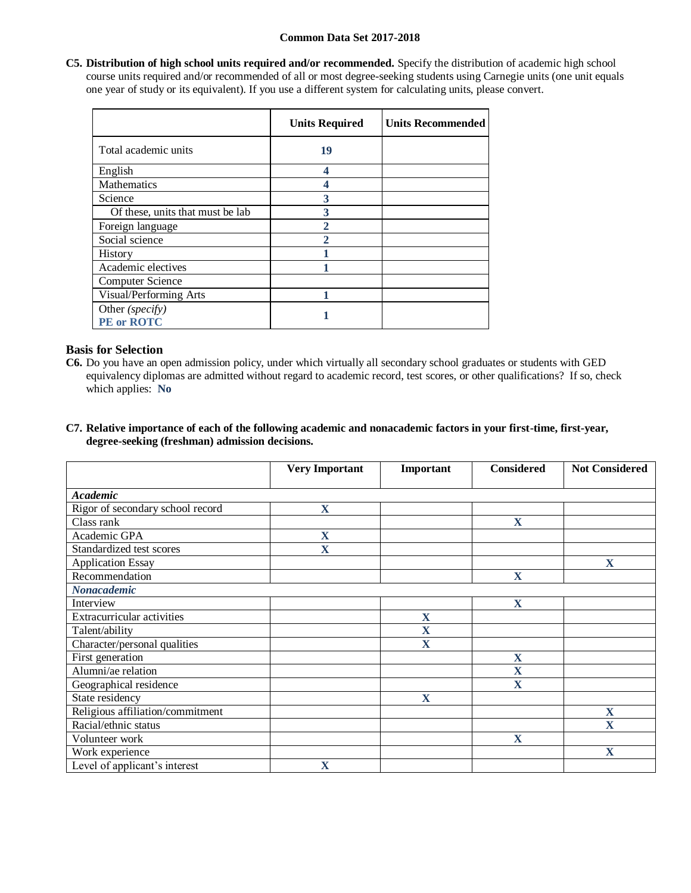**C5. Distribution of high school units required and/or recommended.** Specify the distribution of academic high school course units required and/or recommended of all or most degree-seeking students using Carnegie units (one unit equals one year of study or its equivalent). If you use a different system for calculating units, please convert.

|                                      | <b>Units Required</b> | <b>Units Recommended</b> |
|--------------------------------------|-----------------------|--------------------------|
| Total academic units                 | 19                    |                          |
| English                              | 4                     |                          |
| <b>Mathematics</b>                   | 4                     |                          |
| Science                              | 3                     |                          |
| Of these, units that must be lab     | 3                     |                          |
| Foreign language                     | $\mathbf 2$           |                          |
| Social science                       | 2                     |                          |
| History                              |                       |                          |
| Academic electives                   |                       |                          |
| <b>Computer Science</b>              |                       |                          |
| Visual/Performing Arts               |                       |                          |
| Other (specify)<br><b>PE</b> or ROTC |                       |                          |

# **Basis for Selection**

- **C6.** Do you have an open admission policy, under which virtually all secondary school graduates or students with GED equivalency diplomas are admitted without regard to academic record, test scores, or other qualifications? If so, check which applies: **No**
- **C7. Relative importance of each of the following academic and nonacademic factors in your first-time, first-year, degree-seeking (freshman) admission decisions.**

|                                   | <b>Very Important</b> | Important | <b>Considered</b>       | <b>Not Considered</b> |
|-----------------------------------|-----------------------|-----------|-------------------------|-----------------------|
|                                   |                       |           |                         |                       |
| <b>Academic</b>                   |                       |           |                         |                       |
| Rigor of secondary school record  | $\mathbf X$           |           |                         |                       |
| Class rank                        |                       |           | $\mathbf{X}$            |                       |
| Academic GPA                      | X                     |           |                         |                       |
| Standardized test scores          | X                     |           |                         |                       |
| <b>Application Essay</b>          |                       |           |                         | $\mathbf X$           |
| Recommendation                    |                       |           | $\mathbf X$             |                       |
| <b>Nonacademic</b>                |                       |           |                         |                       |
| Interview                         |                       |           | X                       |                       |
| <b>Extracurricular activities</b> |                       | X         |                         |                       |
| Talent/ability                    |                       | X         |                         |                       |
| Character/personal qualities      |                       | X         |                         |                       |
| First generation                  |                       |           | X                       |                       |
| Alumni/ae relation                |                       |           | $\overline{\mathbf{X}}$ |                       |
| Geographical residence            |                       |           | $\mathbf X$             |                       |
| State residency                   |                       | X         |                         |                       |
| Religious affiliation/commitment  |                       |           |                         | X                     |
| Racial/ethnic status              |                       |           |                         | $\mathbf X$           |
| Volunteer work                    |                       |           | X                       |                       |
| Work experience                   |                       |           |                         | X                     |
| Level of applicant's interest     | X                     |           |                         |                       |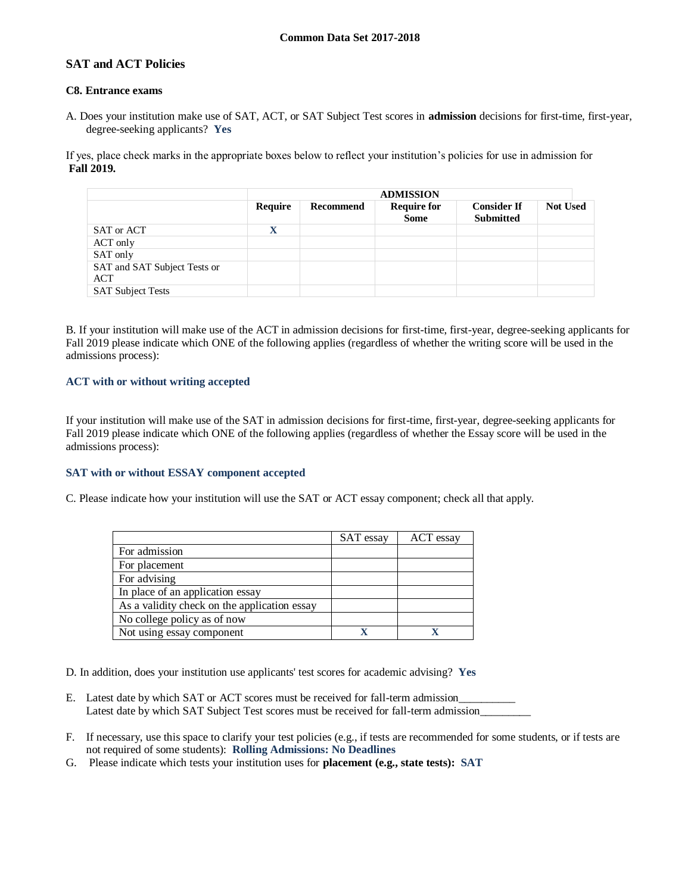# **SAT and ACT Policies**

#### **C8. Entrance exams**

A. Does your institution make use of SAT, ACT, or SAT Subject Test scores in **admission** decisions for first-time, first-year, degree-seeking applicants? **Yes**

If yes, place check marks in the appropriate boxes below to reflect your institution's policies for use in admission for **Fall 2019.**

|                                            | <b>ADMISSION</b> |           |                                   |                                        |                 |
|--------------------------------------------|------------------|-----------|-----------------------------------|----------------------------------------|-----------------|
|                                            | Require          | Recommend | <b>Require for</b><br><b>Some</b> | <b>Consider If</b><br><b>Submitted</b> | <b>Not Used</b> |
| SAT or ACT                                 | $\mathbf X$      |           |                                   |                                        |                 |
| ACT only                                   |                  |           |                                   |                                        |                 |
| SAT only                                   |                  |           |                                   |                                        |                 |
| SAT and SAT Subject Tests or<br><b>ACT</b> |                  |           |                                   |                                        |                 |
| <b>SAT Subject Tests</b>                   |                  |           |                                   |                                        |                 |

B. If your institution will make use of the ACT in admission decisions for first-time, first-year, degree-seeking applicants for Fall 2019 please indicate which ONE of the following applies (regardless of whether the writing score will be used in the admissions process):

## **ACT with or without writing accepted**

If your institution will make use of the SAT in admission decisions for first-time, first-year, degree-seeking applicants for Fall 2019 please indicate which ONE of the following applies (regardless of whether the Essay score will be used in the admissions process):

#### **SAT with or without ESSAY component accepted**

C. Please indicate how your institution will use the SAT or ACT essay component; check all that apply.

|                                              | SAT essay | ACT essay |
|----------------------------------------------|-----------|-----------|
| For admission                                |           |           |
| For placement                                |           |           |
| For advising                                 |           |           |
| In place of an application essay             |           |           |
| As a validity check on the application essay |           |           |
| No college policy as of now                  |           |           |
| Not using essay component                    |           |           |

D. In addition, does your institution use applicants' test scores for academic advising? **Yes**

- E. Latest date by which SAT or ACT scores must be received for fall-term admission Latest date by which SAT Subject Test scores must be received for fall-term admission\_
- F. If necessary, use this space to clarify your test policies (e.g., if tests are recommended for some students, or if tests are not required of some students): **Rolling Admissions: No Deadlines**
- G. Please indicate which tests your institution uses for **placement (e.g., state tests): SAT**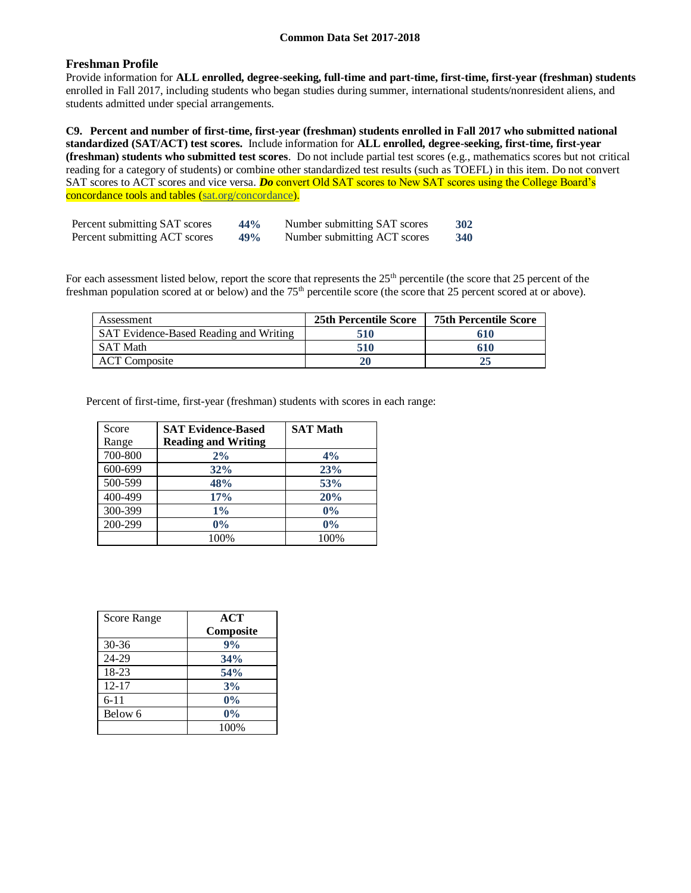# **Freshman Profile**

Provide information for **ALL enrolled, degree-seeking, full-time and part-time, first-time, first-year (freshman) students**  enrolled in Fall 2017, including students who began studies during summer, international students/nonresident aliens, and students admitted under special arrangements.

**C9. Percent and number of first-time, first-year (freshman) students enrolled in Fall 2017 who submitted national standardized (SAT/ACT) test scores.** Include information for **ALL enrolled, degree-seeking, first-time, first-year (freshman) students who submitted test scores**. Do not include partial test scores (e.g., mathematics scores but not critical reading for a category of students) or combine other standardized test results (such as TOEFL) in this item. Do not convert SAT scores to ACT scores and vice versa. *Do* convert Old SAT scores to New SAT scores using the College Board's concordance tools and tables (sat.org/concordance).

| Percent submitting SAT scores | 44% | Number submitting SAT scores | 302 |
|-------------------------------|-----|------------------------------|-----|
| Percent submitting ACT scores | 49% | Number submitting ACT scores | 340 |

For each assessment listed below, report the score that represents the 25<sup>th</sup> percentile (the score that 25 percent of the freshman population scored at or below) and the 75<sup>th</sup> percentile score (the score that 25 percent scored at or above).

| Assessment                             | <b>25th Percentile Score</b> | <b>75th Percentile Score</b> |
|----------------------------------------|------------------------------|------------------------------|
| SAT Evidence-Based Reading and Writing | 510                          | 610                          |
| <b>SAT Math</b>                        | 510                          | 610                          |
| <b>ACT</b> Composite                   |                              |                              |

Percent of first-time, first-year (freshman) students with scores in each range:

| Score   | <b>SAT Evidence-Based</b>  | <b>SAT Math</b> |
|---------|----------------------------|-----------------|
| Range   | <b>Reading and Writing</b> |                 |
| 700-800 | 2%                         | 4%              |
| 600-699 | 32%                        | 23%             |
| 500-599 | 48%                        | 53%             |
| 400-499 | 17%                        | 20%             |
| 300-399 | $1\%$                      | 0%              |
| 200-299 | $0\%$                      | 0%              |
|         | 100%                       | 100%            |

| Score Range | <b>ACT</b> |
|-------------|------------|
|             | Composite  |
| $30 - 36$   | 9%         |
| 24-29       | 34%        |
| 18-23       | 54%        |
| $12 - 17$   | 3%         |
| $6 - 11$    | $0\%$      |
| Below 6     | $0\%$      |
|             | 100%       |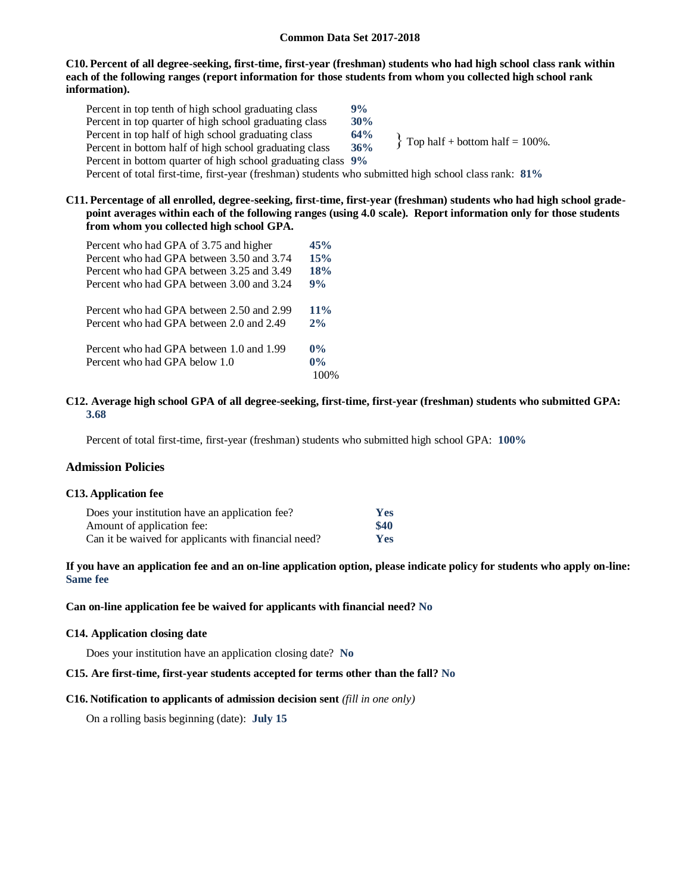#### **C10. Percent of all degree-seeking, first-time, first-year (freshman) students who had high school class rank within each of the following ranges (report information for those students from whom you collected high school rank information).**

Percent in top tenth of high school graduating class **9%** Percent in top quarter of high school graduating class **30%** Percent in top half of high school graduating class **64%** Percent in bottom half of high school graduating class **36%** Percent in bottom quarter of high school graduating class **9%** Percent of total first-time, first-year (freshman) students who submitted high school class rank: **81%**  $\{$  Top half + bottom half = 100%.

### **C11. Percentage of all enrolled, degree-seeking, first-time, first-year (freshman) students who had high school gradepoint averages within each of the following ranges (using 4.0 scale). Report information only for those students from whom you collected high school GPA.**

| Percent who had GPA of 3.75 and higher    | 45%    |
|-------------------------------------------|--------|
| Percent who had GPA between 3.50 and 3.74 | 15%    |
| Percent who had GPA between 3.25 and 3.49 | 18%    |
| Percent who had GPA between 3.00 and 3.24 | 9%     |
| Percent who had GPA between 2.50 and 2.99 | $11\%$ |
| Percent who had GPA between 2.0 and 2.49  | 2%     |
| Percent who had GPA between 1.0 and 1.99  | $0\%$  |
| Percent who had GPA below 1.0             | $0\%$  |
|                                           |        |

#### **C12. Average high school GPA of all degree-seeking, first-time, first-year (freshman) students who submitted GPA: 3.68**

Percent of total first-time, first-year (freshman) students who submitted high school GPA: **100%**

#### **Admission Policies**

#### **C13. Application fee**

| Does your institution have an application fee?       | <b>Yes</b> |
|------------------------------------------------------|------------|
| Amount of application fee:                           | \$40       |
| Can it be waived for applicants with financial need? | Yes        |

## **If you have an application fee and an on-line application option, please indicate policy for students who apply on-line: Same fee**

#### **Can on-line application fee be waived for applicants with financial need? No**

#### **C14. Application closing date**

Does your institution have an application closing date? **No**

#### **C15. Are first-time, first-year students accepted for terms other than the fall? No**

#### **C16. Notification to applicants of admission decision sent** *(fill in one only)*

On a rolling basis beginning (date): **July 15**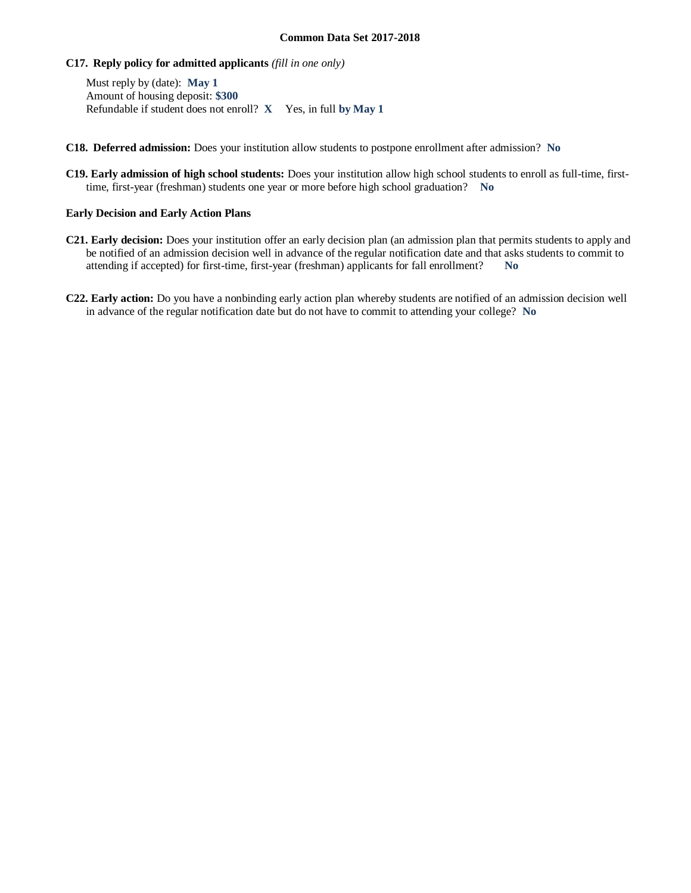### **C17. Reply policy for admitted applicants** *(fill in one only)*

Must reply by (date): **May 1** Amount of housing deposit: **\$300** Refundable if student does not enroll? **X** Yes, in full **by May 1**

- **C18. Deferred admission:** Does your institution allow students to postpone enrollment after admission? **No**
- **C19. Early admission of high school students:** Does your institution allow high school students to enroll as full-time, firsttime, first-year (freshman) students one year or more before high school graduation? **No**

### **Early Decision and Early Action Plans**

- **C21. Early decision:** Does your institution offer an early decision plan (an admission plan that permits students to apply and be notified of an admission decision well in advance of the regular notification date and that asks students to commit to attending if accepted) for first-time, first-year (freshman) applicants for fall enrollment? **No**
- **C22. Early action:** Do you have a nonbinding early action plan whereby students are notified of an admission decision well in advance of the regular notification date but do not have to commit to attending your college? **No**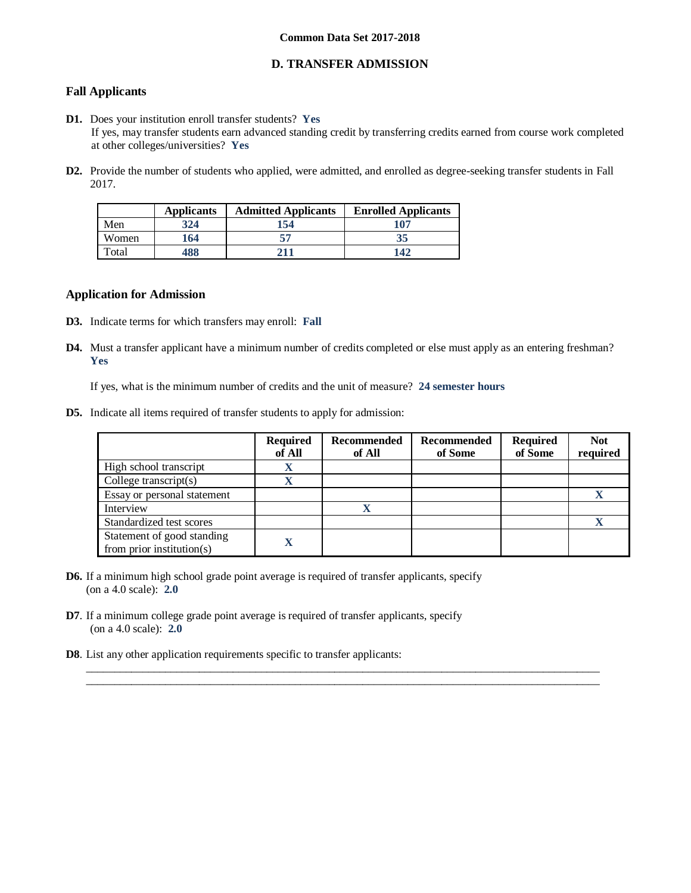# **D. TRANSFER ADMISSION**

# **Fall Applicants**

- **D1.** Does your institution enroll transfer students? **Yes** If yes, may transfer students earn advanced standing credit by transferring credits earned from course work completed at other colleges/universities? **Yes**
- **D2.** Provide the number of students who applied, were admitted, and enrolled as degree-seeking transfer students in Fall 2017.

|       | <b>Applicants</b> | <b>Admitted Applicants</b> | <b>Enrolled Applicants</b> |
|-------|-------------------|----------------------------|----------------------------|
| Men   | 324               | 154                        | 107                        |
| Women | 164               | 57                         | 35                         |
| Total | 488               | 211                        | 142                        |

### **Application for Admission**

- **D3.** Indicate terms for which transfers may enroll: **Fall**
- **D4.** Must a transfer applicant have a minimum number of credits completed or else must apply as an entering freshman? **Yes**

If yes, what is the minimum number of credits and the unit of measure? **24 semester hours**

**D5.** Indicate all items required of transfer students to apply for admission:

|                                                             | <b>Required</b><br>of All | Recommended<br>of All | <b>Recommended</b><br>of Some | <b>Required</b><br>of Some | <b>Not</b><br>required |
|-------------------------------------------------------------|---------------------------|-----------------------|-------------------------------|----------------------------|------------------------|
| High school transcript                                      | X                         |                       |                               |                            |                        |
| College transcript $(s)$                                    | $\mathbf v$               |                       |                               |                            |                        |
| Essay or personal statement                                 |                           |                       |                               |                            |                        |
| Interview                                                   |                           |                       |                               |                            |                        |
| Standardized test scores                                    |                           |                       |                               |                            |                        |
| Statement of good standing<br>from prior institution( $s$ ) |                           |                       |                               |                            |                        |

 $\_$  ,  $\_$  ,  $\_$  ,  $\_$  ,  $\_$  ,  $\_$  ,  $\_$  ,  $\_$  ,  $\_$  ,  $\_$  ,  $\_$  ,  $\_$  ,  $\_$  ,  $\_$  ,  $\_$  ,  $\_$  ,  $\_$  ,  $\_$  ,  $\_$  ,  $\_$  ,  $\_$  ,  $\_$  ,  $\_$  ,  $\_$  ,  $\_$  ,  $\_$  ,  $\_$  ,  $\_$  ,  $\_$  ,  $\_$  ,  $\_$  ,  $\_$  ,  $\_$  ,  $\_$  ,  $\_$  ,  $\_$  ,  $\_$  ,  $\_$  ,  $\_$  ,  $\_$  ,  $\_$  ,  $\_$  ,  $\_$  ,  $\_$  ,  $\_$  ,  $\_$  ,  $\_$  ,  $\_$  ,  $\_$  ,  $\_$  ,  $\_$  ,  $\_$  ,  $\_$  ,  $\_$  ,  $\_$  ,  $\_$  ,  $\_$  ,  $\_$  ,  $\_$  ,  $\_$  ,  $\_$  ,  $\_$  ,  $\_$  ,  $\_$  ,  $\_$  ,  $\_$  ,  $\_$  ,  $\_$  ,  $\_$  ,  $\_$  ,  $\_$  ,  $\_$  ,  $\_$  ,  $\_$  ,

- **D6.** If a minimum high school grade point average is required of transfer applicants, specify (on a 4.0 scale): **2.0**
- **D7**. If a minimum college grade point average is required of transfer applicants, specify (on a 4.0 scale): **2.0**
- **D8**. List any other application requirements specific to transfer applicants: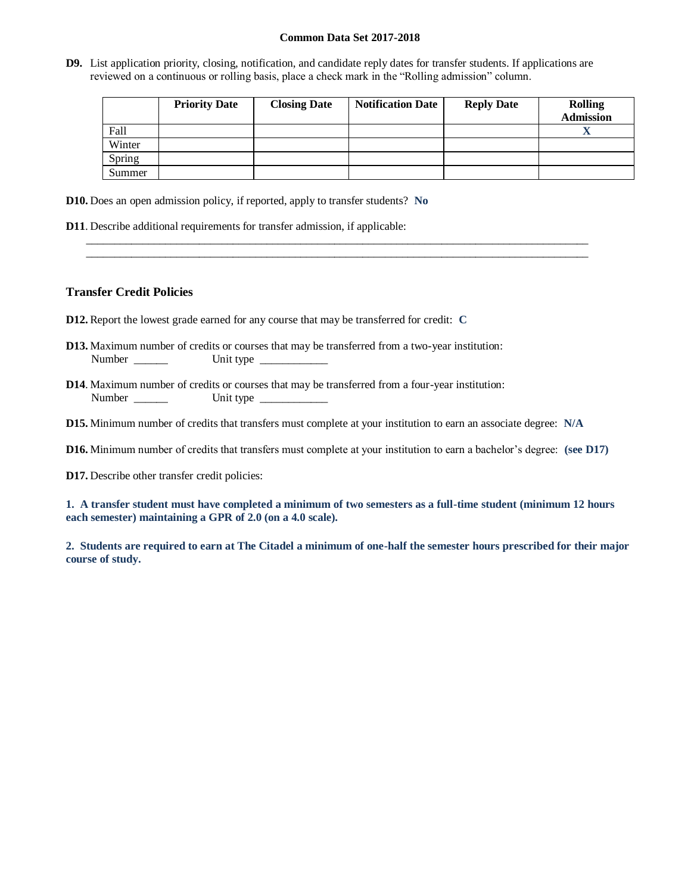**D9.** List application priority, closing, notification, and candidate reply dates for transfer students. If applications are reviewed on a continuous or rolling basis, place a check mark in the "Rolling admission" column.

\_\_\_\_\_\_\_\_\_\_\_\_\_\_\_\_\_\_\_\_\_\_\_\_\_\_\_\_\_\_\_\_\_\_\_\_\_\_\_\_\_\_\_\_\_\_\_\_\_\_\_\_\_\_\_\_\_\_\_\_\_\_\_\_\_\_\_\_\_\_\_\_\_\_\_\_\_\_\_\_\_\_\_\_\_\_\_\_\_ \_\_\_\_\_\_\_\_\_\_\_\_\_\_\_\_\_\_\_\_\_\_\_\_\_\_\_\_\_\_\_\_\_\_\_\_\_\_\_\_\_\_\_\_\_\_\_\_\_\_\_\_\_\_\_\_\_\_\_\_\_\_\_\_\_\_\_\_\_\_\_\_\_\_\_\_\_\_\_\_\_\_\_\_\_\_\_\_\_

|        | <b>Priority Date</b> | <b>Closing Date</b> | <b>Notification Date</b> | <b>Reply Date</b> | <b>Rolling</b><br><b>Admission</b> |
|--------|----------------------|---------------------|--------------------------|-------------------|------------------------------------|
| Fall   |                      |                     |                          |                   |                                    |
| Winter |                      |                     |                          |                   |                                    |
| Spring |                      |                     |                          |                   |                                    |
| Summer |                      |                     |                          |                   |                                    |

**D10.** Does an open admission policy, if reported, apply to transfer students? **No**

**D11**. Describe additional requirements for transfer admission, if applicable:

### **Transfer Credit Policies**

- **D12.** Report the lowest grade earned for any course that may be transferred for credit: **C**
- **D13.** Maximum number of credits or courses that may be transferred from a two-year institution: Number \_\_\_\_\_\_ Unit type \_\_\_\_\_\_\_\_\_\_\_\_
- **D14**. Maximum number of credits or courses that may be transferred from a four-year institution: Number \_\_\_\_\_\_ Unit type \_\_\_\_\_\_\_\_\_\_\_\_

**D15.** Minimum number of credits that transfers must complete at your institution to earn an associate degree: **N/A**

**D16.** Minimum number of credits that transfers must complete at your institution to earn a bachelor's degree: **(see D17)**

**D17.** Describe other transfer credit policies:

**1. A transfer student must have completed a minimum of two semesters as a full-time student (minimum 12 hours each semester) maintaining a GPR of 2.0 (on a 4.0 scale).**

**2. Students are required to earn at The Citadel a minimum of one-half the semester hours prescribed for their major course of study.**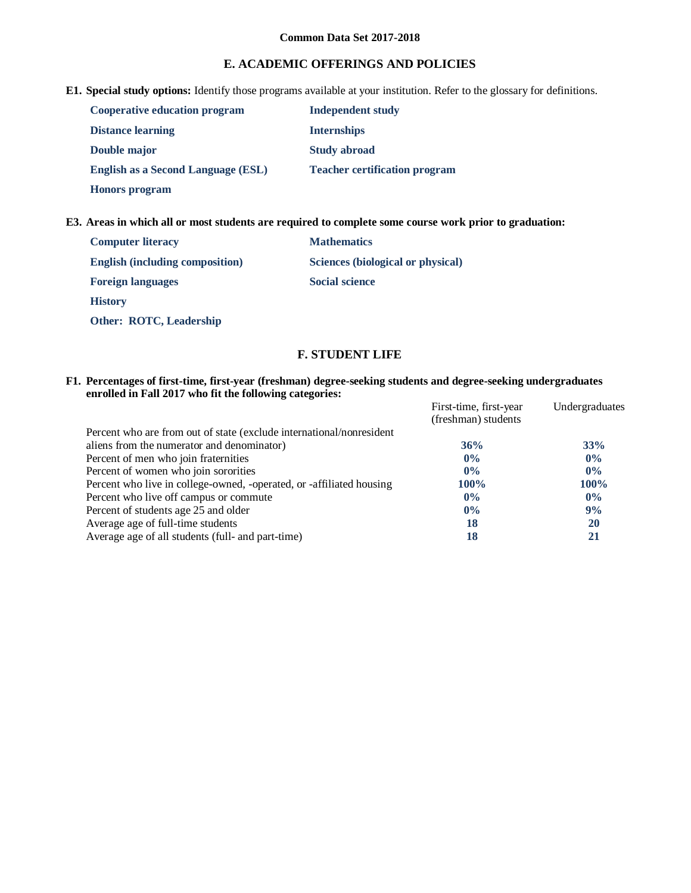# **E. ACADEMIC OFFERINGS AND POLICIES**

**E1. Special study options:** Identify those programs available at your institution. Refer to the glossary for definitions.

| <b>Cooperative education program</b>      | <b>Independent study</b>             |
|-------------------------------------------|--------------------------------------|
| <b>Distance learning</b>                  | <b>Internships</b>                   |
| <b>Double major</b>                       | <b>Study abroad</b>                  |
| <b>English as a Second Language (ESL)</b> | <b>Teacher certification program</b> |
| <b>Honors program</b>                     |                                      |

**E3. Areas in which all or most students are required to complete some course work prior to graduation:**

| <b>Computer literacy</b>               | <b>Mathematics</b>                |
|----------------------------------------|-----------------------------------|
| <b>English (including composition)</b> | Sciences (biological or physical) |
| <b>Foreign languages</b>               | <b>Social science</b>             |
| <b>History</b>                         |                                   |
| <b>Other: ROTC, Leadership</b>         |                                   |

# **F. STUDENT LIFE**

**F1. Percentages of first-time, first-year (freshman) degree-seeking students and degree-seeking undergraduates enrolled in Fall 2017 who fit the following categories:**

| enrolled in Fall 2017 who fit the following categories:              |                                               |                |
|----------------------------------------------------------------------|-----------------------------------------------|----------------|
|                                                                      | First-time, first-year<br>(freshman) students | Undergraduates |
| Percent who are from out of state (exclude international/nonresident |                                               |                |
| aliens from the numerator and denominator)                           | 36%                                           | 33%            |
| Percent of men who join fraternities                                 | $0\%$                                         | $0\%$          |
| Percent of women who join sororities                                 | $0\%$                                         | $0\%$          |
| Percent who live in college-owned, -operated, or -affiliated housing | $100\%$                                       | $100\%$        |
| Percent who live off campus or commute                               | $0\%$                                         | $0\%$          |
| Percent of students age 25 and older                                 | $0\%$                                         | 9%             |
| Average age of full-time students                                    | 18                                            | 20             |
| Average age of all students (full- and part-time)                    | 18                                            | 21             |
|                                                                      |                                               |                |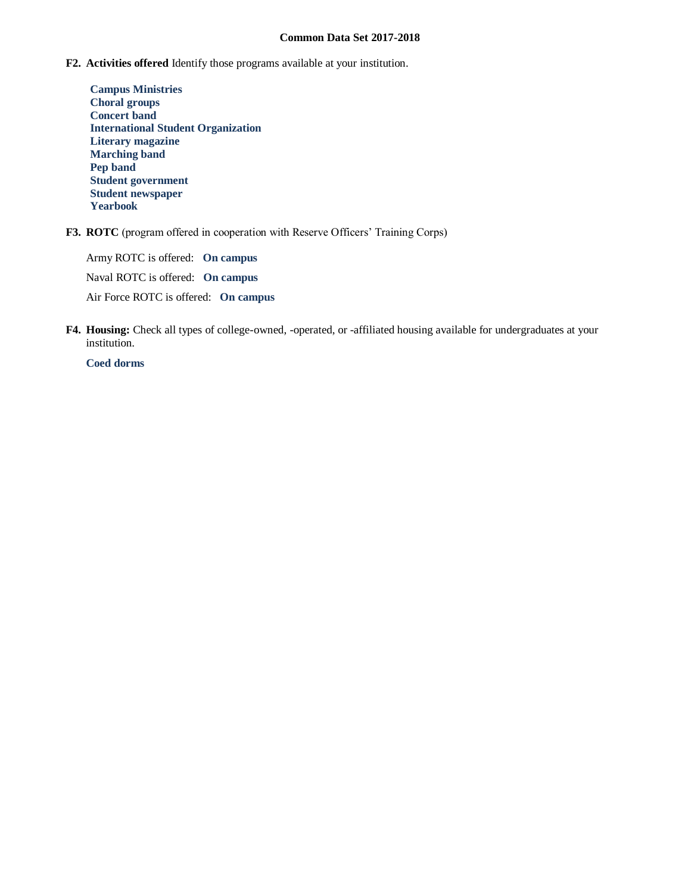- **F2. Activities offered** Identify those programs available at your institution.
	- **Campus Ministries Choral groups Concert band International Student Organization Literary magazine Marching band Pep band Student government Student newspaper Yearbook**
- **F3. ROTC** (program offered in cooperation with Reserve Officers' Training Corps)

Army ROTC is offered: **On campus** Naval ROTC is offered: **On campus** Air Force ROTC is offered: **On campus**

**F4. Housing:** Check all types of college-owned, -operated, or -affiliated housing available for undergraduates at your institution.

**Coed dorms**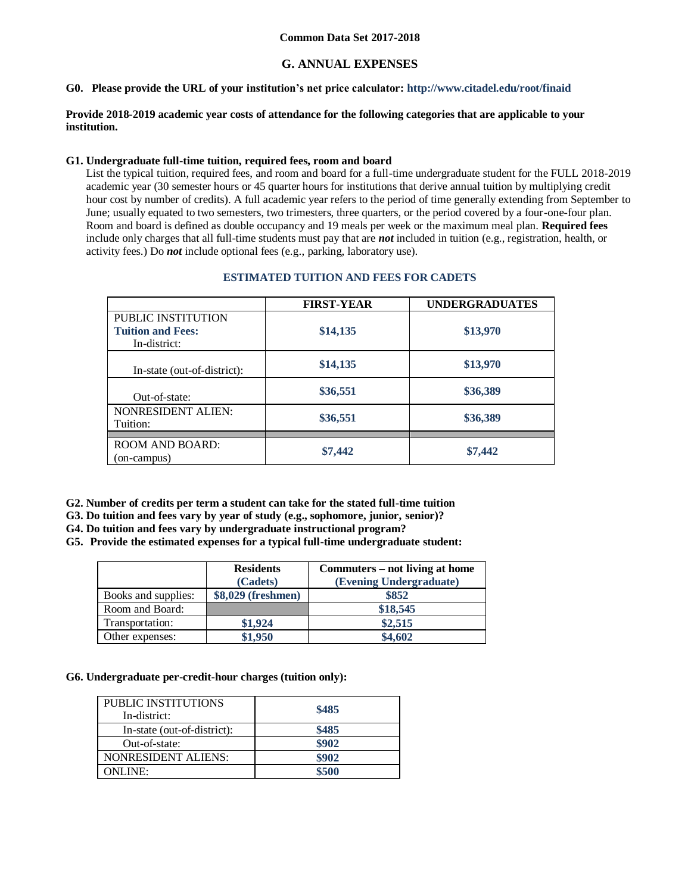# **G. ANNUAL EXPENSES**

#### **G0. Please provide the URL of your institution's net price calculator: http://www.citadel.edu/root/finaid**

### **Provide 2018-2019 academic year costs of attendance for the following categories that are applicable to your institution.**

### **G1. Undergraduate full-time tuition, required fees, room and board**

List the typical tuition, required fees, and room and board for a full-time undergraduate student for the FULL 2018-2019 academic year (30 semester hours or 45 quarter hours for institutions that derive annual tuition by multiplying credit hour cost by number of credits). A full academic year refers to the period of time generally extending from September to June; usually equated to two semesters, two trimesters, three quarters, or the period covered by a four-one-four plan. Room and board is defined as double occupancy and 19 meals per week or the maximum meal plan. **Required fees** include only charges that all full-time students must pay that are *not* included in tuition (e.g., registration, health, or activity fees.) Do *not* include optional fees (e.g., parking, laboratory use).

|                                                                | <b>FIRST-YEAR</b> | <b>UNDERGRADUATES</b> |
|----------------------------------------------------------------|-------------------|-----------------------|
| PUBLIC INSTITUTION<br><b>Tuition and Fees:</b><br>In-district: | \$14,135          | \$13,970              |
| In-state (out-of-district):                                    | \$14,135          | \$13,970              |
| Out-of-state:                                                  | \$36,551          | \$36,389              |
| <b>NONRESIDENT ALIEN:</b><br>Tuition:                          | \$36,551          | \$36,389              |
| <b>ROOM AND BOARD:</b><br>(on-campus)                          | \$7,442           | \$7,442               |

### **ESTIMATED TUITION AND FEES FOR CADETS**

**G2. Number of credits per term a student can take for the stated full-time tuition** 

- **G3. Do tuition and fees vary by year of study (e.g., sophomore, junior, senior)?**
- **G4. Do tuition and fees vary by undergraduate instructional program?**

**G5. Provide the estimated expenses for a typical full-time undergraduate student:**

|                     | <b>Residents</b>   | Commuters – not living at home |
|---------------------|--------------------|--------------------------------|
|                     | (Cadets)           | (Evening Undergraduate)        |
| Books and supplies: | \$8,029 (freshmen) | \$852                          |
| Room and Board:     |                    | \$18,545                       |
| Transportation:     | \$1,924            | \$2,515                        |
| Other expenses:     | \$1,950            | \$4,602                        |

## **G6. Undergraduate per-credit-hour charges (tuition only):**

| PUBLIC INSTITUTIONS<br>In-district: | \$485 |
|-------------------------------------|-------|
| In-state (out-of-district):         | \$485 |
| Out-of-state:                       | \$902 |
| NONRESIDENT ALIENS:                 | \$902 |
| ONLINE:                             | \$500 |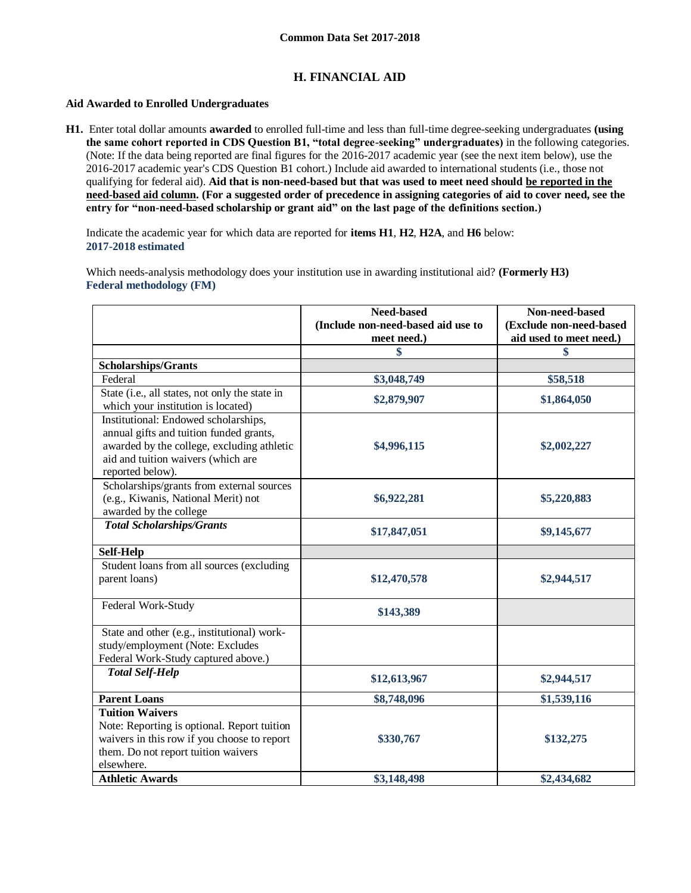# **H. FINANCIAL AID**

### **Aid Awarded to Enrolled Undergraduates**

**H1.** Enter total dollar amounts **awarded** to enrolled full-time and less than full-time degree-seeking undergraduates **(using the same cohort reported in CDS Question B1, "total degree-seeking" undergraduates)** in the following categories. (Note: If the data being reported are final figures for the 2016-2017 academic year (see the next item below), use the 2016-2017 academic year's CDS Question B1 cohort.) Include aid awarded to international students (i.e., those not qualifying for federal aid). **Aid that is non-need-based but that was used to meet need should be reported in the need-based aid column. (For a suggested order of precedence in assigning categories of aid to cover need, see the entry for "non-need-based scholarship or grant aid" on the last page of the definitions section.)**

Indicate the academic year for which data are reported for **items H1**, **H2**, **H2A**, and **H6** below: **2017-2018 estimated** 

Which needs-analysis methodology does your institution use in awarding institutional aid? **(Formerly H3) Federal methodology (FM)**

|                                                                                                                                                                                         | <b>Need-based</b><br>(Include non-need-based aid use to | Non-need-based<br>(Exclude non-need-based |
|-----------------------------------------------------------------------------------------------------------------------------------------------------------------------------------------|---------------------------------------------------------|-------------------------------------------|
|                                                                                                                                                                                         | meet need.)                                             | aid used to meet need.)                   |
|                                                                                                                                                                                         | \$                                                      | \$                                        |
| <b>Scholarships/Grants</b>                                                                                                                                                              |                                                         |                                           |
| Federal                                                                                                                                                                                 | \$3,048,749                                             | \$58,518                                  |
| State (i.e., all states, not only the state in<br>which your institution is located)                                                                                                    | \$2,879,907                                             | \$1,864,050                               |
| Institutional: Endowed scholarships,<br>annual gifts and tuition funded grants,<br>awarded by the college, excluding athletic<br>aid and tuition waivers (which are<br>reported below). | \$4,996,115                                             | \$2,002,227                               |
| Scholarships/grants from external sources<br>(e.g., Kiwanis, National Merit) not<br>awarded by the college                                                                              | \$6,922,281                                             | \$5,220,883                               |
| <b>Total Scholarships/Grants</b>                                                                                                                                                        | \$17,847,051                                            | \$9,145,677                               |
| Self-Help                                                                                                                                                                               |                                                         |                                           |
| Student loans from all sources (excluding<br>parent loans)                                                                                                                              | \$12,470,578                                            | \$2,944,517                               |
| Federal Work-Study                                                                                                                                                                      | \$143,389                                               |                                           |
| State and other (e.g., institutional) work-<br>study/employment (Note: Excludes<br>Federal Work-Study captured above.)                                                                  |                                                         |                                           |
| <b>Total Self-Help</b>                                                                                                                                                                  | \$12,613,967                                            | \$2,944,517                               |
| <b>Parent Loans</b>                                                                                                                                                                     | \$8,748,096                                             | \$1,539,116                               |
| <b>Tuition Waivers</b><br>Note: Reporting is optional. Report tuition<br>waivers in this row if you choose to report<br>them. Do not report tuition waivers<br>elsewhere.               | \$330,767                                               | \$132,275                                 |
| <b>Athletic Awards</b>                                                                                                                                                                  | \$3,148,498                                             | \$2,434,682                               |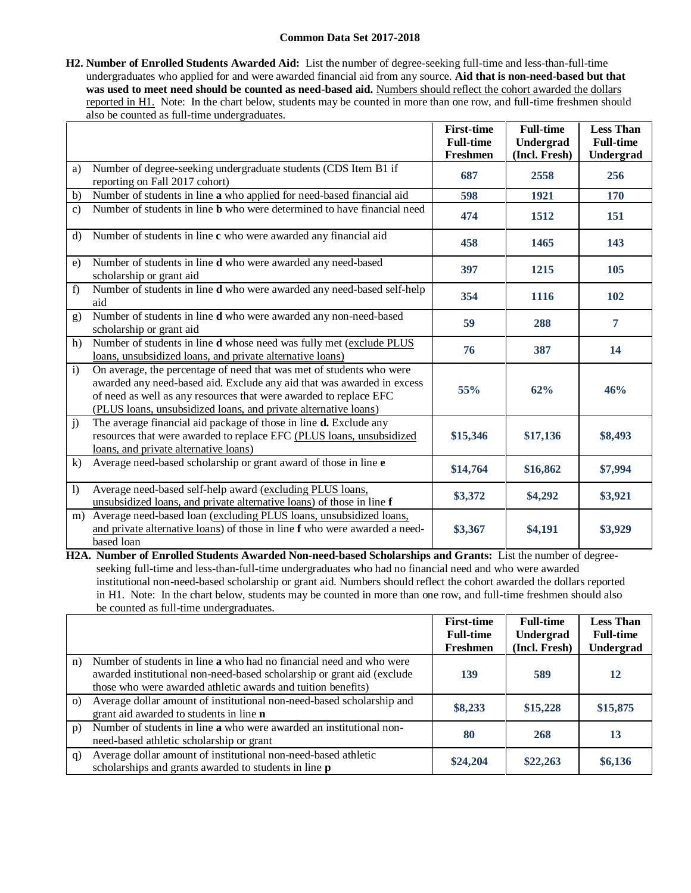**H2. Number of Enrolled Students Awarded Aid:** List the number of degree-seeking full-time and less-than-full-time undergraduates who applied for and were awarded financial aid from any source. **Aid that is non-need-based but that was used to meet need should be counted as need-based aid.** Numbers should reflect the cohort awarded the dollars reported in H1. Note: In the chart below, students may be counted in more than one row, and full-time freshmen should also be counted as full-time undergraduates.

|              |                                                                                                                                                                                                                                                                                        | <b>First-time</b><br><b>Full-time</b> | <b>Full-time</b><br>Undergrad | <b>Less Than</b><br><b>Full-time</b> |
|--------------|----------------------------------------------------------------------------------------------------------------------------------------------------------------------------------------------------------------------------------------------------------------------------------------|---------------------------------------|-------------------------------|--------------------------------------|
|              |                                                                                                                                                                                                                                                                                        | Freshmen                              | (Incl. Fresh)                 | <b>Undergrad</b>                     |
| a)           | Number of degree-seeking undergraduate students (CDS Item B1 if<br>reporting on Fall 2017 cohort)                                                                                                                                                                                      | 687                                   | 2558                          | 256                                  |
| b)           | Number of students in line a who applied for need-based financial aid                                                                                                                                                                                                                  | 598                                   | 1921                          | 170                                  |
| $\mathbf{c}$ | Number of students in line <b>b</b> who were determined to have financial need                                                                                                                                                                                                         | 474                                   | 1512                          | 151                                  |
| $\mathbf{d}$ | Number of students in line c who were awarded any financial aid                                                                                                                                                                                                                        | 458                                   | 1465                          | 143                                  |
| e)           | Number of students in line d who were awarded any need-based<br>scholarship or grant aid                                                                                                                                                                                               | 397                                   | 1215                          | 105                                  |
| f            | Number of students in line d who were awarded any need-based self-help<br>aid                                                                                                                                                                                                          | 354                                   | 1116                          | 102                                  |
| g)           | Number of students in line d who were awarded any non-need-based<br>scholarship or grant aid                                                                                                                                                                                           | 59                                    | 288                           | 7                                    |
| h)           | Number of students in line d whose need was fully met (exclude PLUS<br>loans, unsubsidized loans, and private alternative loans)                                                                                                                                                       | 76                                    | 387                           | 14                                   |
| $\mathbf{i}$ | On average, the percentage of need that was met of students who were<br>awarded any need-based aid. Exclude any aid that was awarded in excess<br>of need as well as any resources that were awarded to replace EFC<br>(PLUS loans, unsubsidized loans, and private alternative loans) | 55%                                   | 62%                           | 46%                                  |
| $\mathbf{j}$ | The average financial aid package of those in line $\overline{d}$ . Exclude any<br>resources that were awarded to replace EFC (PLUS loans, unsubsidized<br>loans, and private alternative loans)                                                                                       | \$15,346                              | \$17,136                      | \$8,493                              |
| k)           | Average need-based scholarship or grant award of those in line e                                                                                                                                                                                                                       | \$14,764                              | \$16,862                      | \$7,994                              |
| $\bf{l}$     | Average need-based self-help award (excluding PLUS loans,<br>unsubsidized loans, and private alternative loans) of those in line f                                                                                                                                                     | \$3,372                               | \$4,292                       | \$3,921                              |
| m)           | Average need-based loan (excluding PLUS loans, unsubsidized loans,<br>and private alternative loans) of those in line f who were awarded a need-<br>based loan                                                                                                                         | \$3,367                               | \$4,191                       | \$3,929                              |

**H2A. Number of Enrolled Students Awarded Non-need-based Scholarships and Grants:** List the number of degreeseeking full-time and less-than-full-time undergraduates who had no financial need and who were awarded institutional non-need-based scholarship or grant aid. Numbers should reflect the cohort awarded the dollars reported in H1. Note: In the chart below, students may be counted in more than one row, and full-time freshmen should also be counted as full-time undergraduates.

|          |                                                                                                                                                                                                               | <b>First-time</b>            | <b>Full-time</b>           | <b>Less Than</b>                     |
|----------|---------------------------------------------------------------------------------------------------------------------------------------------------------------------------------------------------------------|------------------------------|----------------------------|--------------------------------------|
|          |                                                                                                                                                                                                               | <b>Full-time</b><br>Freshmen | Undergrad<br>(Incl. Fresh) | <b>Full-time</b><br><b>Undergrad</b> |
| n)       | Number of students in line a who had no financial need and who were<br>awarded institutional non-need-based scholarship or grant aid (exclude<br>those who were awarded athletic awards and tuition benefits) | 139                          | 589                        | 12                                   |
| $\Omega$ | Average dollar amount of institutional non-need-based scholarship and<br>grant aid awarded to students in line <b>n</b>                                                                                       | \$8,233                      | \$15,228                   | \$15,875                             |
| p)       | Number of students in line a who were awarded an institutional non-<br>need-based athletic scholarship or grant                                                                                               | 80                           | 268                        | 13                                   |
| q)       | Average dollar amount of institutional non-need-based athletic<br>scholarships and grants awarded to students in line <b>p</b>                                                                                | \$24,204                     | \$22,263                   | \$6,136                              |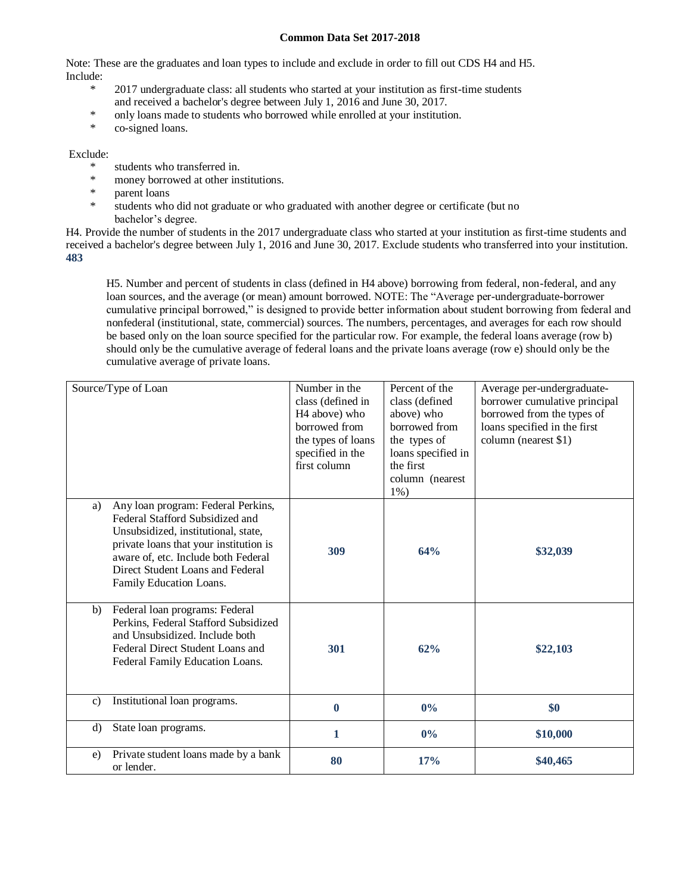Note: These are the graduates and loan types to include and exclude in order to fill out CDS H4 and H5. Include:

- \* 2017 undergraduate class: all students who started at your institution as first-time students and received a bachelor's degree between July 1, 2016 and June 30, 2017.
- \* only loans made to students who borrowed while enrolled at your institution.
- co-signed loans.

## Exclude:

- \* students who transferred in.
- \* money borrowed at other institutions.
- parent loans
- \* students who did not graduate or who graduated with another degree or certificate (but no bachelor's degree.

H4. Provide the number of students in the 2017 undergraduate class who started at your institution as first-time students and received a bachelor's degree between July 1, 2016 and June 30, 2017. Exclude students who transferred into your institution. **483**

H5. Number and percent of students in class (defined in H4 above) borrowing from federal, non-federal, and any loan sources, and the average (or mean) amount borrowed. NOTE: The "Average per-undergraduate-borrower cumulative principal borrowed," is designed to provide better information about student borrowing from federal and nonfederal (institutional, state, commercial) sources. The numbers, percentages, and averages for each row should be based only on the loan source specified for the particular row. For example, the federal loans average (row b) should only be the cumulative average of federal loans and the private loans average (row e) should only be the cumulative average of private loans.

| Source/Type of Loan                                                                                                                                                                                                                                                | Number in the<br>class (defined in<br>H <sub>4</sub> above) who<br>borrowed from<br>the types of loans<br>specified in the<br>first column | Percent of the<br>class (defined<br>above) who<br>borrowed from<br>the types of<br>loans specified in<br>the first<br>column (nearest<br>$1\%$ ) | Average per-undergraduate-<br>borrower cumulative principal<br>borrowed from the types of<br>loans specified in the first<br>column (nearest \$1) |
|--------------------------------------------------------------------------------------------------------------------------------------------------------------------------------------------------------------------------------------------------------------------|--------------------------------------------------------------------------------------------------------------------------------------------|--------------------------------------------------------------------------------------------------------------------------------------------------|---------------------------------------------------------------------------------------------------------------------------------------------------|
| Any loan program: Federal Perkins,<br>a)<br>Federal Stafford Subsidized and<br>Unsubsidized, institutional, state,<br>private loans that your institution is<br>aware of, etc. Include both Federal<br>Direct Student Loans and Federal<br>Family Education Loans. | 309                                                                                                                                        | 64%                                                                                                                                              | \$32,039                                                                                                                                          |
| Federal loan programs: Federal<br>b)<br>Perkins, Federal Stafford Subsidized<br>and Unsubsidized. Include both<br>Federal Direct Student Loans and<br>Federal Family Education Loans.                                                                              | 301                                                                                                                                        | 62%                                                                                                                                              | \$22,103                                                                                                                                          |
| Institutional loan programs.<br>$\mathbf{c}$                                                                                                                                                                                                                       | $\bf{0}$                                                                                                                                   | $0\%$                                                                                                                                            | \$0                                                                                                                                               |
| $\rm d$<br>State loan programs.                                                                                                                                                                                                                                    | 1                                                                                                                                          | $0\%$                                                                                                                                            | \$10,000                                                                                                                                          |
| Private student loans made by a bank<br>e)<br>or lender.                                                                                                                                                                                                           | 80                                                                                                                                         | 17%                                                                                                                                              | \$40,465                                                                                                                                          |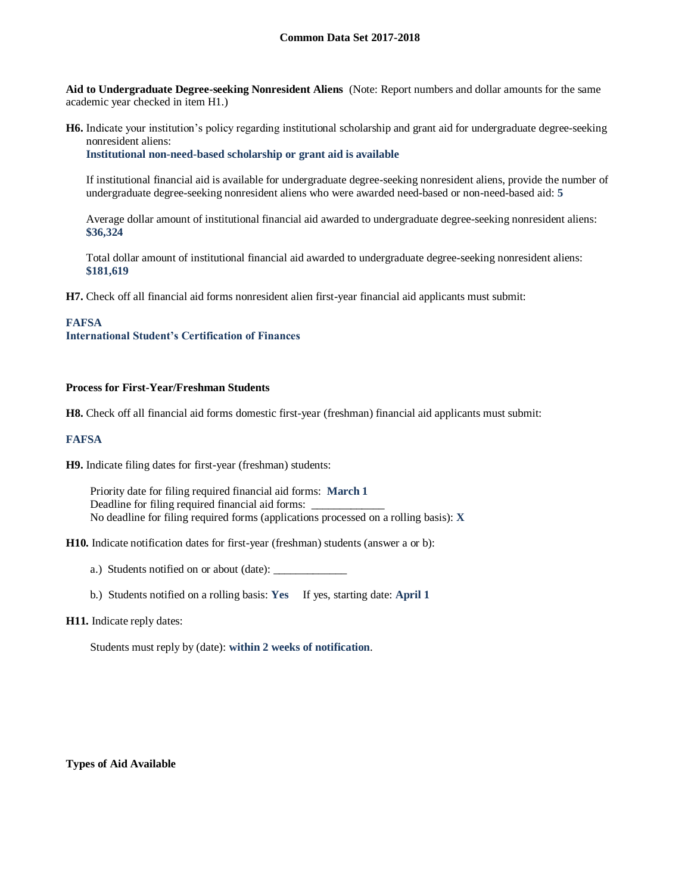**Aid to Undergraduate Degree-seeking Nonresident Aliens** (Note: Report numbers and dollar amounts for the same academic year checked in item H1.)

**H6.** Indicate your institution's policy regarding institutional scholarship and grant aid for undergraduate degree-seeking nonresident aliens:

**Institutional non-need-based scholarship or grant aid is available**

If institutional financial aid is available for undergraduate degree-seeking nonresident aliens, provide the number of undergraduate degree-seeking nonresident aliens who were awarded need-based or non-need-based aid: **5**

Average dollar amount of institutional financial aid awarded to undergraduate degree-seeking nonresident aliens: **\$36,324**

Total dollar amount of institutional financial aid awarded to undergraduate degree-seeking nonresident aliens: **\$181,619**

**H7.** Check off all financial aid forms nonresident alien first-year financial aid applicants must submit:

### **FAFSA**

**International Student's Certification of Finances**

#### **Process for First-Year/Freshman Students**

**H8.** Check off all financial aid forms domestic first-year (freshman) financial aid applicants must submit:

#### **FAFSA**

**H9.** Indicate filing dates for first-year (freshman) students:

Priority date for filing required financial aid forms: **March 1** Deadline for filing required financial aid forms: No deadline for filing required forms (applications processed on a rolling basis): **X**

**H10.** Indicate notification dates for first-year (freshman) students (answer a or b):

a.) Students notified on or about (date): \_\_\_\_\_\_\_\_\_\_\_\_\_

b.) Students notified on a rolling basis: **Yes** If yes, starting date: **April 1**

#### **H11.** Indicate reply dates:

Students must reply by (date): **within 2 weeks of notification**.

**Types of Aid Available**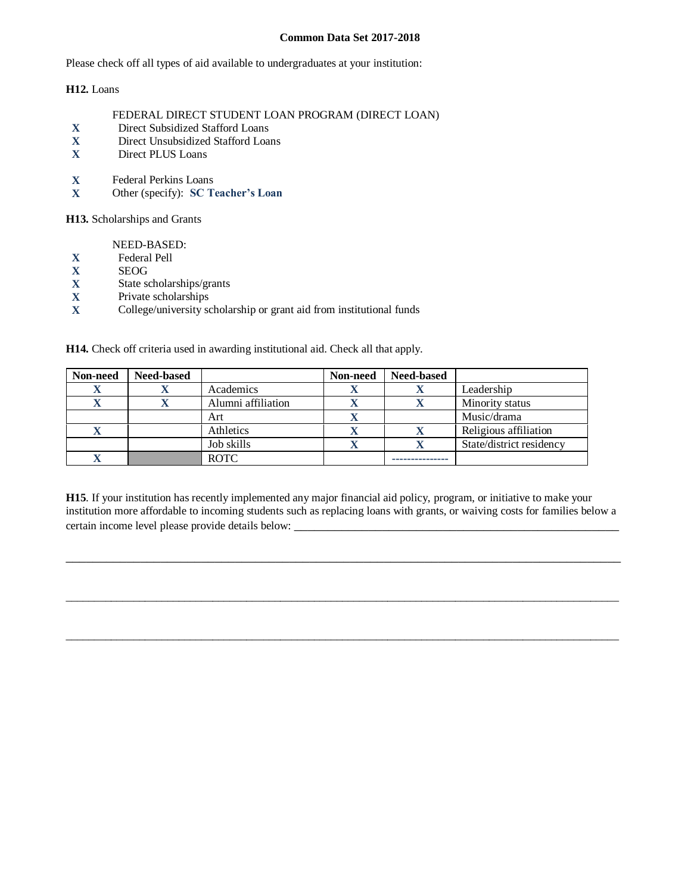Please check off all types of aid available to undergraduates at your institution:

**H12.** Loans

### FEDERAL DIRECT STUDENT LOAN PROGRAM (DIRECT LOAN)

- **X** Direct Subsidized Stafford Loans
- **X** Direct Unsubsidized Stafford Loans
- **X** Direct PLUS Loans
- **X** Federal Perkins Loans<br>**X** Other (specify): **SC** T
- **X** Other (specify): **SC Teacher's Loan**

**H13.** Scholarships and Grants

NEED-BASED:

- **X** Federal Pell
- **X** SEOG
- **X** State scholarships/grants
- **X** Private scholarships<br>**X** College/university sc
- **X** College/university scholarship or grant aid from institutional funds

**H14.** Check off criteria used in awarding institutional aid. Check all that apply.

| Non-need | Need-based |                    | Non-need | <b>Need-based</b> |                          |
|----------|------------|--------------------|----------|-------------------|--------------------------|
| X        |            | Academics          |          |                   | Leadership               |
| л        |            | Alumni affiliation |          |                   | Minority status          |
|          |            | Art                |          |                   | Music/drama              |
| X        |            | Athletics          |          |                   | Religious affiliation    |
|          |            | Job skills         |          |                   | State/district residency |
|          |            | <b>ROTC</b>        |          |                   |                          |

**H15**. If your institution has recently implemented any major financial aid policy, program, or initiative to make your institution more affordable to incoming students such as replacing loans with grants, or waiving costs for families below a certain income level please provide details below:

\_\_\_\_\_\_\_\_\_\_\_\_\_\_\_\_\_\_\_\_\_\_\_\_\_\_\_\_\_\_\_\_\_\_\_\_\_\_\_\_\_\_\_\_\_\_\_\_\_\_\_\_\_\_\_\_\_\_\_\_\_\_\_\_\_\_\_\_\_\_\_\_\_\_\_\_\_\_\_\_\_\_

 $\_$  ,  $\_$  ,  $\_$  ,  $\_$  ,  $\_$  ,  $\_$  ,  $\_$  ,  $\_$  ,  $\_$  ,  $\_$  ,  $\_$  ,  $\_$  ,  $\_$  ,  $\_$  ,  $\_$  ,  $\_$  ,  $\_$  ,  $\_$  ,  $\_$  ,  $\_$  ,  $\_$  ,  $\_$  ,  $\_$  ,  $\_$  ,  $\_$  ,  $\_$  ,  $\_$  ,  $\_$  ,  $\_$  ,  $\_$  ,  $\_$  ,  $\_$  ,  $\_$  ,  $\_$  ,  $\_$  ,  $\_$  ,  $\_$  ,

 $\_$  ,  $\_$  ,  $\_$  ,  $\_$  ,  $\_$  ,  $\_$  ,  $\_$  ,  $\_$  ,  $\_$  ,  $\_$  ,  $\_$  ,  $\_$  ,  $\_$  ,  $\_$  ,  $\_$  ,  $\_$  ,  $\_$  ,  $\_$  ,  $\_$  ,  $\_$  ,  $\_$  ,  $\_$  ,  $\_$  ,  $\_$  ,  $\_$  ,  $\_$  ,  $\_$  ,  $\_$  ,  $\_$  ,  $\_$  ,  $\_$  ,  $\_$  ,  $\_$  ,  $\_$  ,  $\_$  ,  $\_$  ,  $\_$  ,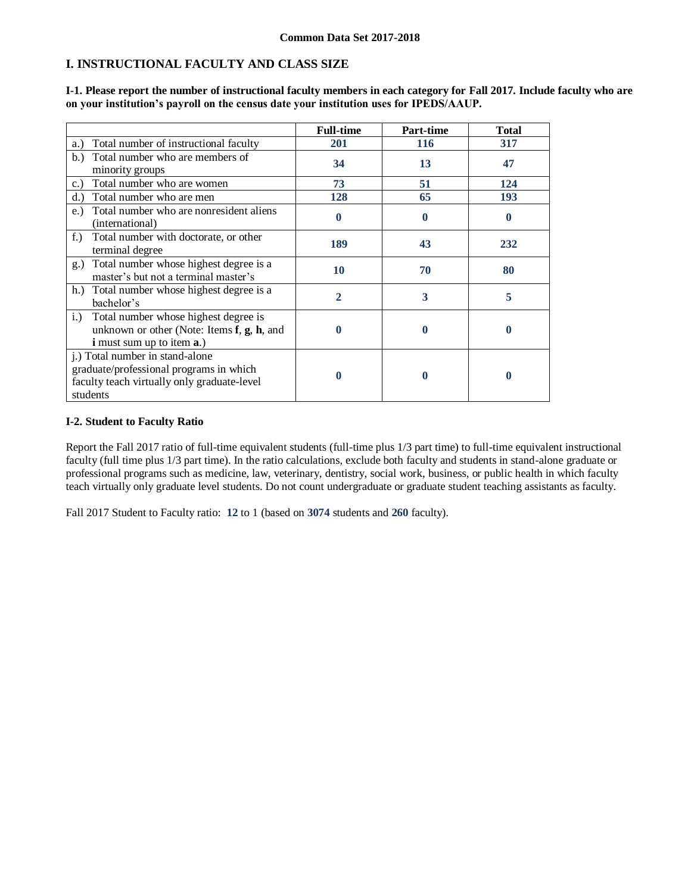# **I. INSTRUCTIONAL FACULTY AND CLASS SIZE**

|                                                                                                                                                | <b>Full-time</b> | <b>Part-time</b> | <b>Total</b> |
|------------------------------------------------------------------------------------------------------------------------------------------------|------------------|------------------|--------------|
| Total number of instructional faculty<br>a.)                                                                                                   | 201              | <b>116</b>       | 317          |
| Total number who are members of<br>b.<br>minority groups                                                                                       | 34               | 13               | 47           |
| Total number who are women<br>$c.$ )                                                                                                           | 73               | 51               | 124          |
| Total number who are men<br>d.                                                                                                                 | 128              | 65               | 193          |
| Total number who are nonresident aliens<br>e.<br>(international)                                                                               |                  | $\mathbf 0$      | 0            |
| $f_{\cdot}$ )<br>Total number with doctorate, or other<br>terminal degree                                                                      | 189              | 43               | 232          |
| Total number whose highest degree is a<br>$g_{\cdot}$<br>master's but not a terminal master's                                                  | 10               | 70               | 80           |
| h.) Total number whose highest degree is a<br>bachelor's                                                                                       | 2                | 3                | 5            |
| Total number whose highest degree is<br>i.)<br>unknown or other (Note: Items $f$ , $g$ , $h$ , and<br><b>i</b> must sum up to item <b>a</b> .) |                  | 0                | 0            |
| j.) Total number in stand-alone<br>graduate/professional programs in which<br>faculty teach virtually only graduate-level<br>students          |                  | 0                | O            |

**I-1. Please report the number of instructional faculty members in each category for Fall 2017. Include faculty who are on your institution's payroll on the census date your institution uses for IPEDS/AAUP.**

### **I-2. Student to Faculty Ratio**

Report the Fall 2017 ratio of full-time equivalent students (full-time plus 1/3 part time) to full-time equivalent instructional faculty (full time plus 1/3 part time). In the ratio calculations, exclude both faculty and students in stand-alone graduate or professional programs such as medicine, law, veterinary, dentistry, social work, business, or public health in which faculty teach virtually only graduate level students. Do not count undergraduate or graduate student teaching assistants as faculty.

Fall 2017 Student to Faculty ratio: **12** to 1 (based on **3074** students and **260** faculty).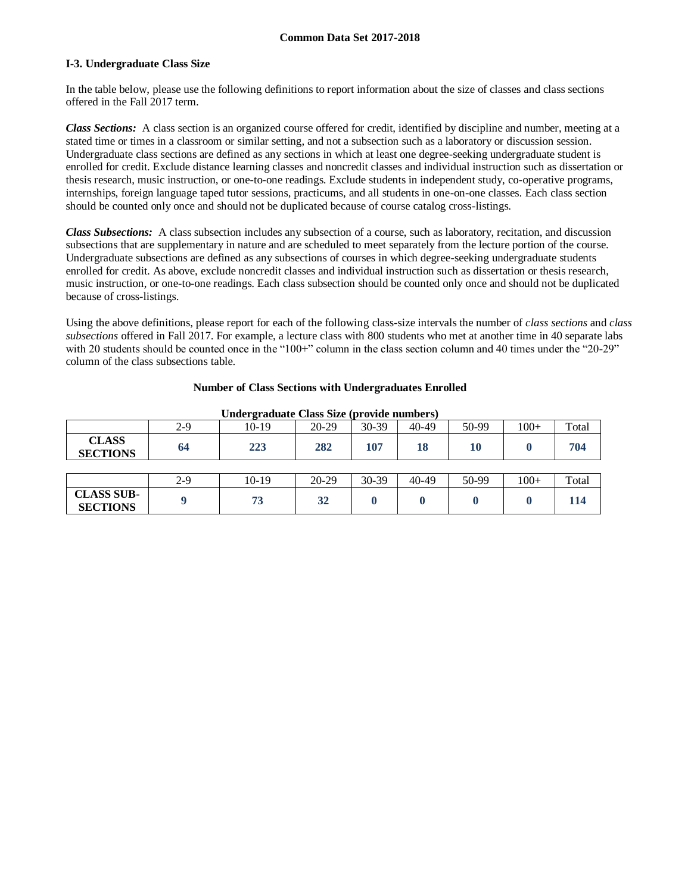### **I-3. Undergraduate Class Size**

In the table below, please use the following definitions to report information about the size of classes and class sections offered in the Fall 2017 term.

*Class Sections:* A class section is an organized course offered for credit, identified by discipline and number, meeting at a stated time or times in a classroom or similar setting, and not a subsection such as a laboratory or discussion session. Undergraduate class sections are defined as any sections in which at least one degree-seeking undergraduate student is enrolled for credit. Exclude distance learning classes and noncredit classes and individual instruction such as dissertation or thesis research, music instruction, or one-to-one readings. Exclude students in independent study, co-operative programs, internships, foreign language taped tutor sessions, practicums, and all students in one-on-one classes. Each class section should be counted only once and should not be duplicated because of course catalog cross-listings.

*Class Subsections:* A class subsection includes any subsection of a course, such as laboratory, recitation, and discussion subsections that are supplementary in nature and are scheduled to meet separately from the lecture portion of the course. Undergraduate subsections are defined as any subsections of courses in which degree-seeking undergraduate students enrolled for credit. As above, exclude noncredit classes and individual instruction such as dissertation or thesis research, music instruction, or one-to-one readings. Each class subsection should be counted only once and should not be duplicated because of cross-listings.

Using the above definitions, please report for each of the following class-size intervals the number of *class sections* and *class subsections* offered in Fall 2017. For example, a lecture class with 800 students who met at another time in 40 separate labs with 20 students should be counted once in the "100+" column in the class section column and 40 times under the "20-29" column of the class subsections table.

### **Number of Class Sections with Undergraduates Enrolled**

|                                      |       |         | ື້      | .         |       |       |        |       |
|--------------------------------------|-------|---------|---------|-----------|-------|-------|--------|-------|
|                                      | $2-9$ | 10-19   | 20-29   | $30 - 39$ | 40-49 | 50-99 | $100+$ | Total |
| <b>CLASS</b><br><b>SECTIONS</b>      | 64    | 223     | 282     | 107       | 18    | 10    |        | 704   |
|                                      |       |         |         |           |       |       |        |       |
|                                      | $2-9$ | $10-19$ | $20-29$ | $30 - 39$ | 40-49 | 50-99 | $100+$ | Total |
| <b>CLASS SUB-</b><br><b>SECTIONS</b> |       | 73      | 32      |           |       |       |        | 114   |

**Undergraduate Class Size (provide numbers)**